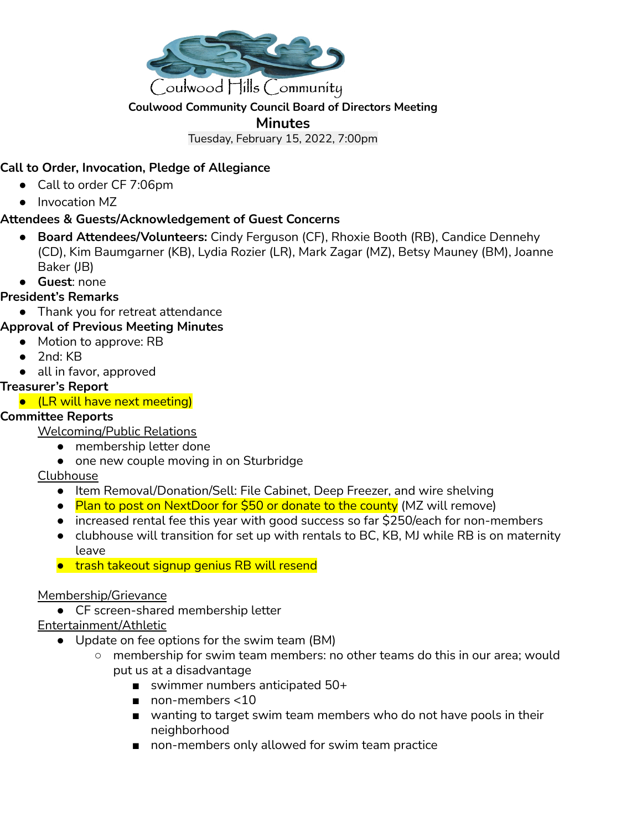

### **Coulwood Community Council Board of Directors Meeting**

#### **Minutes**

Tuesday, February 15, 2022, 7:00pm

# **Call to Order, Invocation, Pledge of Allegiance**

- Call to order CF 7:06pm
- Invocation MZ

## **Attendees & Guests/Acknowledgement of Guest Concerns**

- **Board Attendees/Volunteers:** Cindy Ferguson (CF), Rhoxie Booth (RB), Candice Dennehy (CD), Kim Baumgarner (KB), Lydia Rozier (LR), Mark Zagar (MZ), Betsy Mauney (BM), Joanne Baker (JB)
- **Guest**: none

### **President's Remarks**

- Thank you for retreat attendance
- **Approval of Previous Meeting Minutes**
- Motion to approve: RB
	- 2nd: KB
	- all in favor, approved

### **Treasurer's Report**

● (LR will have next meeting)

### **Committee Reports**

Welcoming/Public Relations

- membership letter done
- one new couple moving in on Sturbridge

### **Clubhouse**

- Item Removal/Donation/Sell: File Cabinet, Deep Freezer, and wire shelving
- Plan to post on NextDoor for \$50 or donate to the county (MZ will remove)
- increased rental fee this year with good success so far \$250/each for non-members
- clubhouse will transition for set up with rentals to BC, KB, MJ while RB is on maternity leave
- trash takeout signup genius RB will resend

### Membership/Grievance

● CF screen-shared membership letter

### Entertainment/Athletic

- Update on fee options for the swim team (BM)
	- membership for swim team members: no other teams do this in our area; would put us at a disadvantage
		- swimmer numbers anticipated 50+
		- non-members <10
		- wanting to target swim team members who do not have pools in their neighborhood
		- non-members only allowed for swim team practice